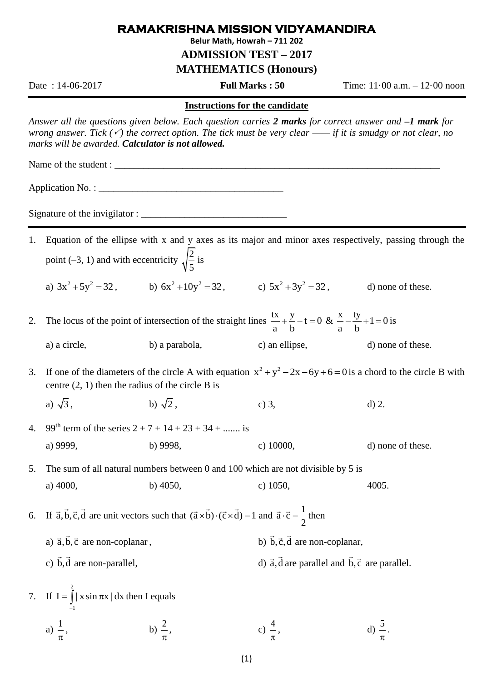## **RAMAKRISHNA MISSION VIDYAMANDIRA**

**Belur Math, Howrah – 711 202**

**ADMISSION TEST – 2017**

**MATHEMATICS (Honours)**

Date : 14-06-2017 **Full Marks : 50** Time: 11·00 a.m. – 12·00 noon

 $\pi$ .

## **Instructions for the candidate**

*Answer all the questions given below. Each question carries 2 marks for correct answer and –1 mark for wrong answer. Tick () the correct option. The tick must be very clear —— if it is smudgy or not clear, no marks will be awarded. Calculator is not allowed.*

Name of the student :

Application No. :

Signature of the invigilator : \_\_\_\_\_\_\_\_\_\_\_\_\_\_\_\_\_\_\_\_\_\_\_\_\_\_\_\_\_\_

1. Equation of the ellipse with x and y axes as its major and minor axes respectively, passing through the point (-3, 1) and with eccentricity  $\sqrt{\frac{2}{5}}$ 5 is

a)  $3x^2 + 5y^2 = 32$ , b)  $6x^2 + 10y^2 = 32$ , c)  $5x^2 + 3y^2 = 32$ , d) none of these.

2. The locus of the point of intersection of the straight lines  $\frac{tx}{t} + \frac{y}{t} - t = 0$ a b  $+\frac{y}{x}-t=0$  &  $\frac{x}{x}-\frac{ty}{x}+1=0$ a b  $-\frac{y}{1}+1=0$  is

a) a circle, b) a parabola, c) an ellipse, d) none of these.

- 3. If one of the diameters of the circle A with equation  $x^2 + y^2 2x 6y + 6 = 0$  is a chord to the circle B with centre (2, 1) then the radius of the circle B is
	- a)  $\sqrt{3}$ . b)  $\sqrt{2}$ 2, c) 3, d) 2.
- 4. 99<sup>th</sup> term of the series  $2 + 7 + 14 + 23 + 34 + ...$  is a) 9999, b) 9998, c) 10000, d) none of these.

5. The sum of all natural numbers between 0 and 100 which are not divisible by 5 is a) 4000, b) 4050, c) 1050, 4005.

6. If  $\vec{a}, \vec{b}, \vec{c}, \vec{d}$  are unit vectors such that  $(\vec{a} \times \vec{b}) \cdot (\vec{c} \times \vec{d}) = 1$  and  $\vec{a} \cdot \vec{c} = \frac{1}{2}$ 2  $\cdot \vec{c} = \frac{1}{2}$  then

- a)  $\vec{a}, \vec{b}, \vec{c}$  are non-coplanar, b) b, c, d are non-coplanar,
- c) b,d are non-parallel, d)  $\vec{a}$ , d are parallel and b,  $\vec{c}$  are parallel.

## 7. If 2 1  $I = \int |x \sin \pi x| dx$  $=\int_{-1}$  | x sin  $\pi$ x | dx then I equals a)  $\frac{1}{2}$  $\pi$ , b)  $\frac{2}{ }$  $\pi$ ,  $c) \frac{4}{ }$  $\pi$  $\frac{5}{4}$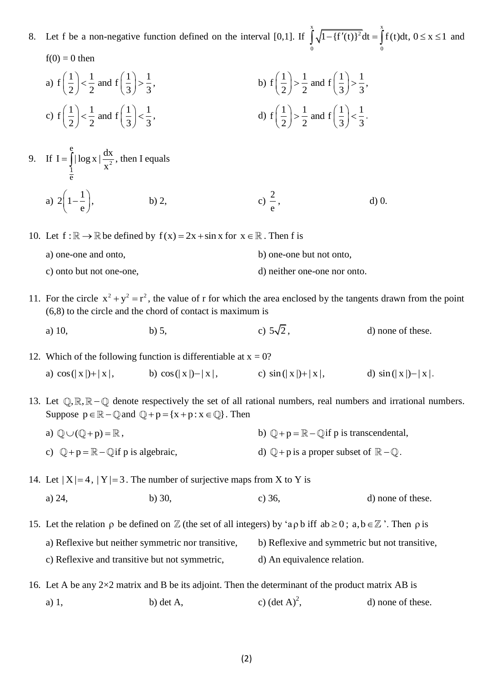- 8. Let f be a non-negative function defined on the interval [0,1]. If  $\int_{1}^{x} \sqrt{1 + (f'(t))^2} dt = \int_{0}^{x}$  $\int_{0}^{\frac{\pi}{2}} \sqrt{1 + (1 + (1 + 1))} dx$  $\int_{0}^{x} \sqrt{1 - {\{f'(t)\}}^2} dt = \int_{0}^{x} f(t) dt, 0 \le x \le 1$  and and  $f(0) = 0$  then a)  $f\left(\frac{1}{2}\right) < \frac{1}{2}$  and  $f\left(\frac{1}{2}\right) > \frac{1}{2}$  $\left(\frac{1}{2}\right) < \frac{1}{2}$  and  $f\left(\frac{1}{3}\right) > \frac{1}{3}$ ,  $,$  b)  $f\left(\frac{1}{2}\right) > \frac{1}{2}$  and  $f\left(\frac{1}{2}\right) > \frac{1}{2}$  $\left(\frac{1}{2}\right) > \frac{1}{2}$  and  $f\left(\frac{1}{3}\right) > \frac{1}{3}$ , , c)  $f\left(\frac{1}{2}\right) < \frac{1}{2}$  and  $f\left(\frac{1}{2}\right) < \frac{1}{2}$  $\left(\frac{1}{2}\right) < \frac{1}{2}$  and  $f\left(\frac{1}{3}\right) < \frac{1}{3}$ ,  $,$  d)  $f\left(\frac{1}{2}\right) > \frac{1}{2}$  and  $f\left(\frac{1}{2}\right) < \frac{1}{2}$  $\left(\frac{1}{2}\right) > \frac{1}{2}$  and  $f\left(\frac{1}{3}\right) < \frac{1}{3}$ . . 9. If  $I = \int_{1}^{1} |\log x| \frac{dA}{x^2}$ e e  $I = \int_{0}^{e} |\log x| \frac{dx}{2}$  $=\int_{1}^{1} |\log x| \frac{dx}{x^2}$ , then I equals a)  $2\left(1-\frac{1}{2}\right)$  $\left(1-\frac{1}{e}\right)$ , b) 2, c) 2 e  $d$ )  $0$ . 10. Let  $f : \mathbb{R} \to \mathbb{R}$  be defined by  $f(x) = 2x + \sin x$  for  $x \in \mathbb{R}$ . Then f is a) one-one and onto, b) one-one but not onto, c) onto but not one-one, d) neither one-one nor onto. 11. For the circle  $x^2 + y^2 = r^2$ , the value of r for which the area enclosed by the tangents drawn from the point (6,8) to the circle and the chord of contact is maximum is a) 10, b) 5, c) c)  $5\sqrt{2}$ , d) none of these. 12. Which of the following function is differentiable at  $x = 0$ ? a)  $\cos(|x|)+|x|,$  b) b)  $\cos(|x|) - |x|$ , c)  $\sin(|x|) + |x|$ , d)  $\sin(|x|) - |x|$ . 13. Let  $\mathbb{Q}, \mathbb{R}, \mathbb{R} - \mathbb{Q}$  denote respectively the set of all rational numbers, real numbers and irrational numbers. Suppose  $p \in \mathbb{R} - \mathbb{Q}$  and  $\mathbb{Q} + p = \{x + p : x \in \mathbb{Q}\}\)$ . Then a)  $\mathbb{Q} \cup (\mathbb{Q} + p) = \mathbb{R}$ , b)  $+p = \mathbb{R} - \mathbb{Q}$  if p is transcendental, c)  $\mathbb{Q} + \mathbb{p} = \mathbb{R} - \mathbb{Q}$  if p is algebraic, d) + p is a proper subset of  $\mathbb{R} - \mathbb{Q}$ . 14. Let  $|X|=4$ ,  $|Y|=3$ . The number of surjective maps from X to Y is a) 24, b) 30, c) 36, d) none of these. 15. Let the relation  $\rho$  be defined on  $\mathbb Z$  (the set of all integers) by 'a $\rho$  b iff ab  $\geq 0$ ; a, b  $\in \mathbb Z$  '. Then  $\rho$  is a) Reflexive but neither symmetric nor transitive, b) Reflexive and symmetric but not transitive, c) Reflexive and transitive but not symmetric, d) An equivalence relation. 16. Let A be any  $2\times 2$  matrix and B be its adjoint. Then the determinant of the product matrix AB is a) 1, b) det A, c)  $(\det A)^2$ , d) none of these.
	- (2)